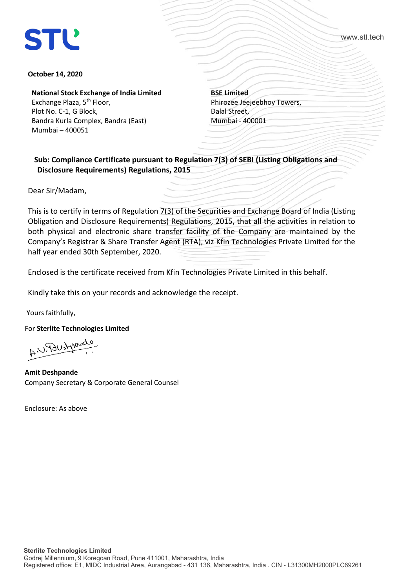www.stl.tech

## **October 14, 2020**

**National Stock Exchange of India Limited**

Exchange Plaza, 5<sup>th</sup> Floor, Plot No. C-1, G Block, Bandra Kurla Complex, Bandra (East) Mumbai – 400051

**BSE Limited** Phirozee Jeejeebhoy Towers, Dalal Street, Mumbai - 400001

 **Sub: Compliance Certificate pursuant to Regulation 7(3) of SEBI (Listing Obligations and Disclosure Requirements) Regulations, 2015**

Dear Sir/Madam,

This is to certify in terms of Regulation 7(3) of the Securities and Exchange Board of India (Listing Obligation and Disclosure Requirements) Regulations, 2015, that all the activities in relation to both physical and electronic share transfer facility of the Company are maintained by the Company's Registrar & Share Transfer Agent (RTA), viz Kfin Technologies Private Limited for the half year ended 30th September, 2020.

Enclosed is the certificate received from Kfin Technologies Private Limited in this behalf.

Kindly take this on your records and acknowledge the receipt.

Yours faithfully,

For **Sterlite Technologies Limited**

A. U. Dustparely

**Amit Deshpande** Company Secretary & Corporate General Counsel

Enclosure: As above